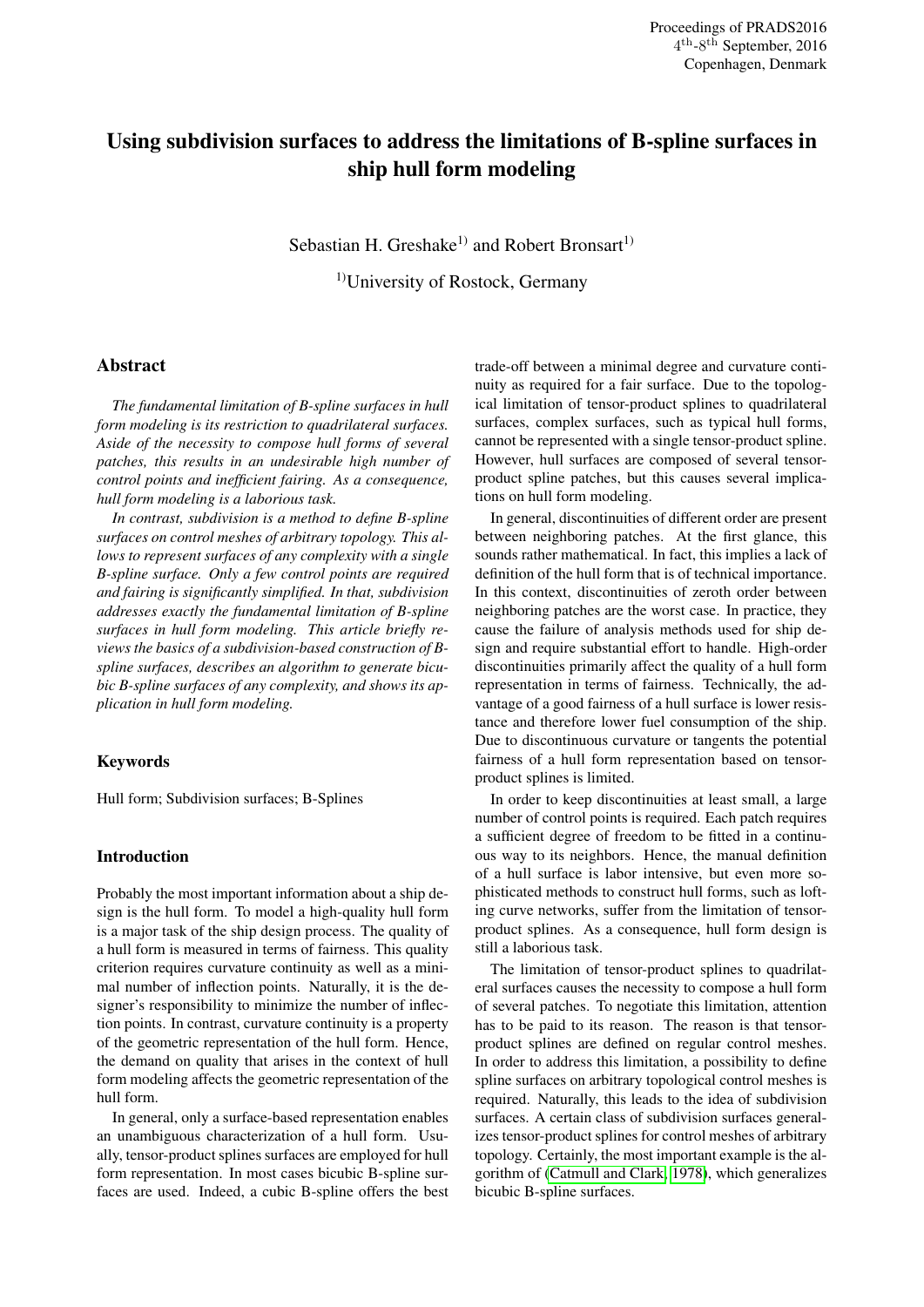# Using subdivision surfaces to address the limitations of B-spline surfaces in ship hull form modeling

Sebastian H. Greshake<sup>1)</sup> and Robert Bronsart<sup>1)</sup>

1)University of Rostock, Germany

# Abstract

*The fundamental limitation of B-spline surfaces in hull form modeling is its restriction to quadrilateral surfaces. Aside of the necessity to compose hull forms of several patches, this results in an undesirable high number of control points and inefficient fairing. As a consequence, hull form modeling is a laborious task.*

*In contrast, subdivision is a method to define B-spline surfaces on control meshes of arbitrary topology. This allows to represent surfaces of any complexity with a single B-spline surface. Only a few control points are required and fairing is significantly simplified. In that, subdivision addresses exactly the fundamental limitation of B-spline surfaces in hull form modeling. This article briefly reviews the basics of a subdivision-based construction of Bspline surfaces, describes an algorithm to generate bicubic B-spline surfaces of any complexity, and shows its application in hull form modeling.*

## Keywords

Hull form; Subdivision surfaces; B-Splines

## Introduction

Probably the most important information about a ship design is the hull form. To model a high-quality hull form is a major task of the ship design process. The quality of a hull form is measured in terms of fairness. This quality criterion requires curvature continuity as well as a minimal number of inflection points. Naturally, it is the designer's responsibility to minimize the number of inflection points. In contrast, curvature continuity is a property of the geometric representation of the hull form. Hence, the demand on quality that arises in the context of hull form modeling affects the geometric representation of the hull form.

In general, only a surface-based representation enables an unambiguous characterization of a hull form. Usually, tensor-product splines surfaces are employed for hull form representation. In most cases bicubic B-spline surfaces are used. Indeed, a cubic B-spline offers the best trade-off between a minimal degree and curvature continuity as required for a fair surface. Due to the topological limitation of tensor-product splines to quadrilateral surfaces, complex surfaces, such as typical hull forms, cannot be represented with a single tensor-product spline. However, hull surfaces are composed of several tensorproduct spline patches, but this causes several implications on hull form modeling.

In general, discontinuities of different order are present between neighboring patches. At the first glance, this sounds rather mathematical. In fact, this implies a lack of definition of the hull form that is of technical importance. In this context, discontinuities of zeroth order between neighboring patches are the worst case. In practice, they cause the failure of analysis methods used for ship design and require substantial effort to handle. High-order discontinuities primarily affect the quality of a hull form representation in terms of fairness. Technically, the advantage of a good fairness of a hull surface is lower resistance and therefore lower fuel consumption of the ship. Due to discontinuous curvature or tangents the potential fairness of a hull form representation based on tensorproduct splines is limited.

In order to keep discontinuities at least small, a large number of control points is required. Each patch requires a sufficient degree of freedom to be fitted in a continuous way to its neighbors. Hence, the manual definition of a hull surface is labor intensive, but even more sophisticated methods to construct hull forms, such as lofting curve networks, suffer from the limitation of tensorproduct splines. As a consequence, hull form design is still a laborious task.

The limitation of tensor-product splines to quadrilateral surfaces causes the necessity to compose a hull form of several patches. To negotiate this limitation, attention has to be paid to its reason. The reason is that tensorproduct splines are defined on regular control meshes. In order to address this limitation, a possibility to define spline surfaces on arbitrary topological control meshes is required. Naturally, this leads to the idea of subdivision surfaces. A certain class of subdivision surfaces generalizes tensor-product splines for control meshes of arbitrary topology. Certainly, the most important example is the algorithm of [\(Catmull and Clark, 1978\)](#page-6-0), which generalizes bicubic B-spline surfaces.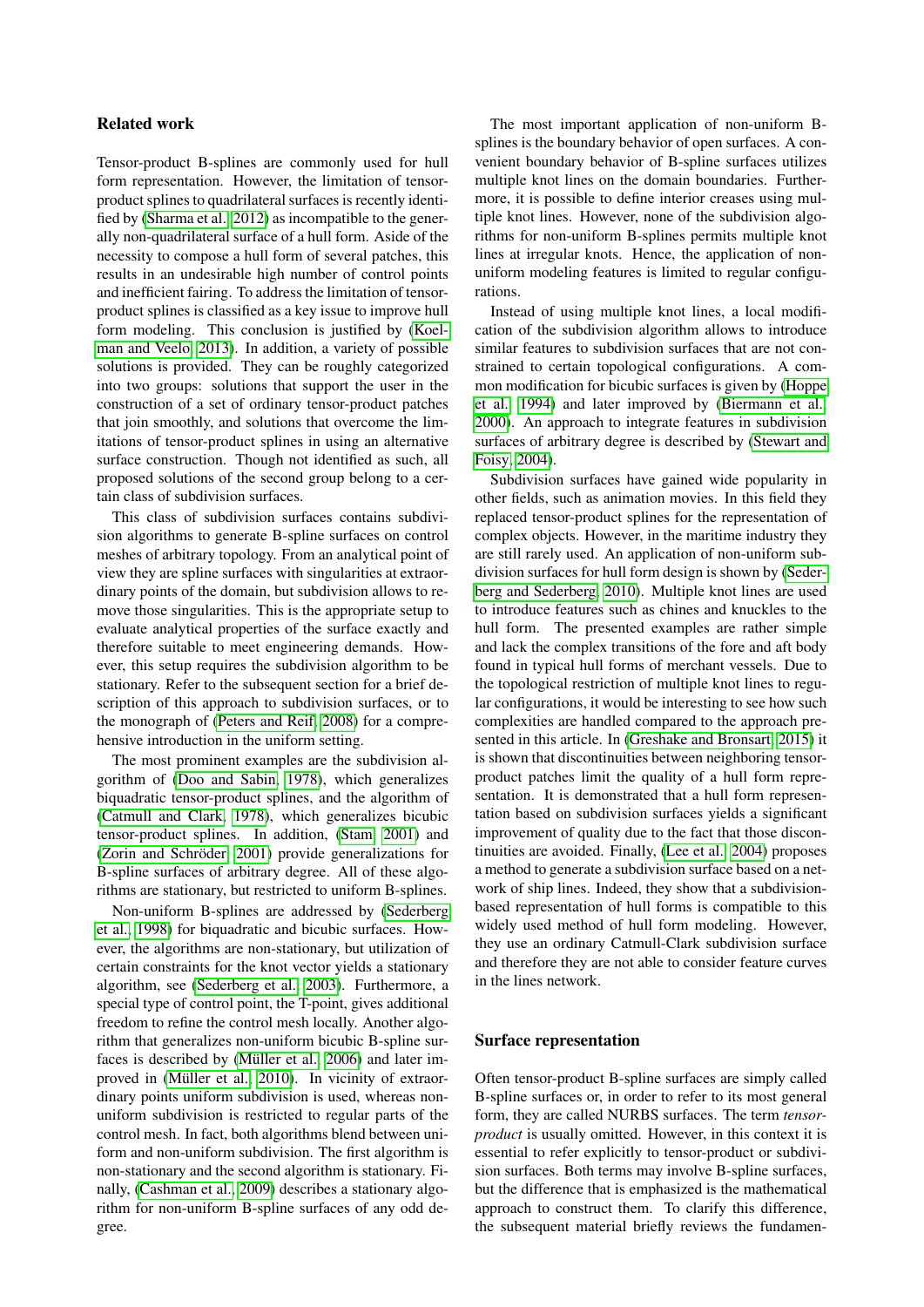## Related work

Tensor-product B-splines are commonly used for hull form representation. However, the limitation of tensorproduct splines to quadrilateral surfaces is recently identified by [\(Sharma et al., 2012\)](#page-7-0) as incompatible to the generally non-quadrilateral surface of a hull form. Aside of the necessity to compose a hull form of several patches, this results in an undesirable high number of control points and inefficient fairing. To address the limitation of tensorproduct splines is classified as a key issue to improve hull form modeling. This conclusion is justified by [\(Koel](#page-7-1)[man and Veelo, 2013\)](#page-7-1). In addition, a variety of possible solutions is provided. They can be roughly categorized into two groups: solutions that support the user in the construction of a set of ordinary tensor-product patches that join smoothly, and solutions that overcome the limitations of tensor-product splines in using an alternative surface construction. Though not identified as such, all proposed solutions of the second group belong to a certain class of subdivision surfaces.

This class of subdivision surfaces contains subdivision algorithms to generate B-spline surfaces on control meshes of arbitrary topology. From an analytical point of view they are spline surfaces with singularities at extraordinary points of the domain, but subdivision allows to remove those singularities. This is the appropriate setup to evaluate analytical properties of the surface exactly and therefore suitable to meet engineering demands. However, this setup requires the subdivision algorithm to be stationary. Refer to the subsequent section for a brief description of this approach to subdivision surfaces, or to the monograph of [\(Peters and Reif, 2008\)](#page-7-2) for a comprehensive introduction in the uniform setting.

The most prominent examples are the subdivision algorithm of [\(Doo and Sabin, 1978\)](#page-6-1), which generalizes biquadratic tensor-product splines, and the algorithm of [\(Catmull and Clark, 1978\)](#page-6-0), which generalizes bicubic tensor-product splines. In addition, [\(Stam, 2001\)](#page-7-3) and (Zorin and Schröder, 2001) provide generalizations for B-spline surfaces of arbitrary degree. All of these algorithms are stationary, but restricted to uniform B-splines.

Non-uniform B-splines are addressed by [\(Sederberg](#page-7-5) [et al., 1998\)](#page-7-5) for biquadratic and bicubic surfaces. However, the algorithms are non-stationary, but utilization of certain constraints for the knot vector yields a stationary algorithm, see [\(Sederberg et al., 2003\)](#page-7-6). Furthermore, a special type of control point, the T-point, gives additional freedom to refine the control mesh locally. Another algorithm that generalizes non-uniform bicubic B-spline surfaces is described by (Müller et al., 2006) and later improved in (Müller et al., 2010). In vicinity of extraordinary points uniform subdivision is used, whereas nonuniform subdivision is restricted to regular parts of the control mesh. In fact, both algorithms blend between uniform and non-uniform subdivision. The first algorithm is non-stationary and the second algorithm is stationary. Finally, [\(Cashman et al., 2009\)](#page-6-2) describes a stationary algorithm for non-uniform B-spline surfaces of any odd degree.

The most important application of non-uniform Bsplines is the boundary behavior of open surfaces. A convenient boundary behavior of B-spline surfaces utilizes multiple knot lines on the domain boundaries. Furthermore, it is possible to define interior creases using multiple knot lines. However, none of the subdivision algorithms for non-uniform B-splines permits multiple knot lines at irregular knots. Hence, the application of nonuniform modeling features is limited to regular configurations.

Instead of using multiple knot lines, a local modification of the subdivision algorithm allows to introduce similar features to subdivision surfaces that are not constrained to certain topological configurations. A common modification for bicubic surfaces is given by [\(Hoppe](#page-6-3) [et al., 1994\)](#page-6-3) and later improved by [\(Biermann et al.,](#page-6-4) [2000\)](#page-6-4). An approach to integrate features in subdivision surfaces of arbitrary degree is described by [\(Stewart and](#page-7-9) [Foisy, 2004\)](#page-7-9).

Subdivision surfaces have gained wide popularity in other fields, such as animation movies. In this field they replaced tensor-product splines for the representation of complex objects. However, in the maritime industry they are still rarely used. An application of non-uniform subdivision surfaces for hull form design is shown by [\(Seder](#page-7-10)[berg and Sederberg, 2010\)](#page-7-10). Multiple knot lines are used to introduce features such as chines and knuckles to the hull form. The presented examples are rather simple and lack the complex transitions of the fore and aft body found in typical hull forms of merchant vessels. Due to the topological restriction of multiple knot lines to regular configurations, it would be interesting to see how such complexities are handled compared to the approach presented in this article. In [\(Greshake and Bronsart, 2015\)](#page-6-5) it is shown that discontinuities between neighboring tensorproduct patches limit the quality of a hull form representation. It is demonstrated that a hull form representation based on subdivision surfaces yields a significant improvement of quality due to the fact that those discontinuities are avoided. Finally, [\(Lee et al., 2004\)](#page-7-11) proposes a method to generate a subdivision surface based on a network of ship lines. Indeed, they show that a subdivisionbased representation of hull forms is compatible to this widely used method of hull form modeling. However, they use an ordinary Catmull-Clark subdivision surface and therefore they are not able to consider feature curves in the lines network.

## Surface representation

Often tensor-product B-spline surfaces are simply called B-spline surfaces or, in order to refer to its most general form, they are called NURBS surfaces. The term *tensorproduct* is usually omitted. However, in this context it is essential to refer explicitly to tensor-product or subdivision surfaces. Both terms may involve B-spline surfaces, but the difference that is emphasized is the mathematical approach to construct them. To clarify this difference, the subsequent material briefly reviews the fundamen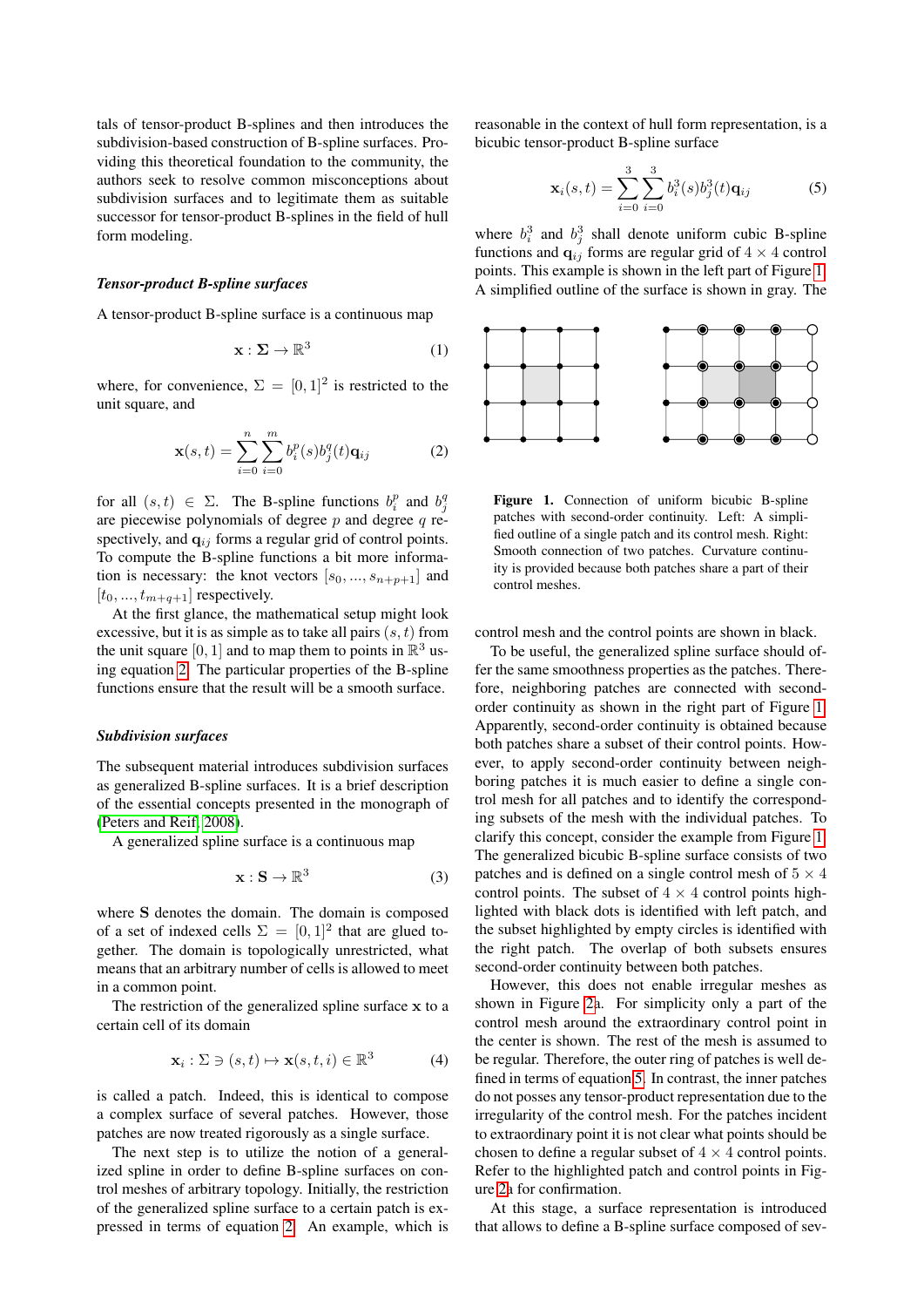tals of tensor-product B-splines and then introduces the subdivision-based construction of B-spline surfaces. Providing this theoretical foundation to the community, the authors seek to resolve common misconceptions about subdivision surfaces and to legitimate them as suitable successor for tensor-product B-splines in the field of hull form modeling.

#### *Tensor-product B-spline surfaces*

A tensor-product B-spline surface is a continuous map

$$
\mathbf{x} : \Sigma \to \mathbb{R}^3 \tag{1}
$$

where, for convenience,  $\Sigma = [0,1]^2$  is restricted to the unit square, and

<span id="page-2-0"></span>
$$
\mathbf{x}(s,t) = \sum_{i=0}^{n} \sum_{i=0}^{m} b_i^p(s) b_j^q(t) \mathbf{q}_{ij}
$$
 (2)

for all  $(s, t) \in \Sigma$ . The B-spline functions  $b_i^p$  and  $b_j^q$ are piecewise polynomials of degree  $p$  and degree  $q$  respectively, and  $q_{ij}$  forms a regular grid of control points. To compute the B-spline functions a bit more information is necessary: the knot vectors  $[s_0, ..., s_{n+p+1}]$  and  $[t_0, ..., t_{m+q+1}]$  respectively.

At the first glance, the mathematical setup might look excessive, but it is as simple as to take all pairs  $(s, t)$  from the unit square [0, 1] and to map them to points in  $\mathbb{R}^3$  using equation [2.](#page-2-0) The particular properties of the B-spline functions ensure that the result will be a smooth surface.

#### *Subdivision surfaces*

The subsequent material introduces subdivision surfaces as generalized B-spline surfaces. It is a brief description of the essential concepts presented in the monograph of [\(Peters and Reif, 2008\)](#page-7-2).

A generalized spline surface is a continuous map

$$
\mathbf{x}: \mathbf{S} \to \mathbb{R}^3 \tag{3}
$$

where S denotes the domain. The domain is composed of a set of indexed cells  $\Sigma = [0, 1]^2$  that are glued together. The domain is topologically unrestricted, what means that an arbitrary number of cells is allowed to meet in a common point.

The restriction of the generalized spline surface x to a certain cell of its domain

$$
\mathbf{x}_i : \Sigma \ni (s, t) \mapsto \mathbf{x}(s, t, i) \in \mathbb{R}^3 \tag{4}
$$

is called a patch. Indeed, this is identical to compose a complex surface of several patches. However, those patches are now treated rigorously as a single surface.

The next step is to utilize the notion of a generalized spline in order to define B-spline surfaces on control meshes of arbitrary topology. Initially, the restriction of the generalized spline surface to a certain patch is expressed in terms of equation [2.](#page-2-0) An example, which is reasonable in the context of hull form representation, is a bicubic tensor-product B-spline surface

<span id="page-2-2"></span>
$$
\mathbf{x}_{i}(s,t) = \sum_{i=0}^{3} \sum_{i=0}^{3} b_{i}^{3}(s) b_{j}^{3}(t) \mathbf{q}_{ij}
$$
 (5)

where  $b_i^3$  and  $b_j^3$  shall denote uniform cubic B-spline functions and  $q_{ij}$  forms are regular grid of  $4 \times 4$  control points. This example is shown in the left part of Figure [1.](#page-2-1) A simplified outline of the surface is shown in gray. The



<span id="page-2-1"></span>Figure 1. Connection of uniform bicubic B-spline patches with second-order continuity. Left: A simplified outline of a single patch and its control mesh. Right: Smooth connection of two patches. Curvature continuity is provided because both patches share a part of their control meshes.

control mesh and the control points are shown in black.

To be useful, the generalized spline surface should offer the same smoothness properties as the patches. Therefore, neighboring patches are connected with secondorder continuity as shown in the right part of Figure [1.](#page-2-1) Apparently, second-order continuity is obtained because both patches share a subset of their control points. However, to apply second-order continuity between neighboring patches it is much easier to define a single control mesh for all patches and to identify the corresponding subsets of the mesh with the individual patches. To clarify this concept, consider the example from Figure [1.](#page-2-1) The generalized bicubic B-spline surface consists of two patches and is defined on a single control mesh of  $5 \times 4$ control points. The subset of  $4 \times 4$  control points highlighted with black dots is identified with left patch, and the subset highlighted by empty circles is identified with the right patch. The overlap of both subsets ensures second-order continuity between both patches.

However, this does not enable irregular meshes as shown in Figure [2a](#page-3-0). For simplicity only a part of the control mesh around the extraordinary control point in the center is shown. The rest of the mesh is assumed to be regular. Therefore, the outer ring of patches is well defined in terms of equation [5.](#page-2-2) In contrast, the inner patches do not posses any tensor-product representation due to the irregularity of the control mesh. For the patches incident to extraordinary point it is not clear what points should be chosen to define a regular subset of  $4 \times 4$  control points. Refer to the highlighted patch and control points in Figure [2a](#page-3-0) for confirmation.

At this stage, a surface representation is introduced that allows to define a B-spline surface composed of sev-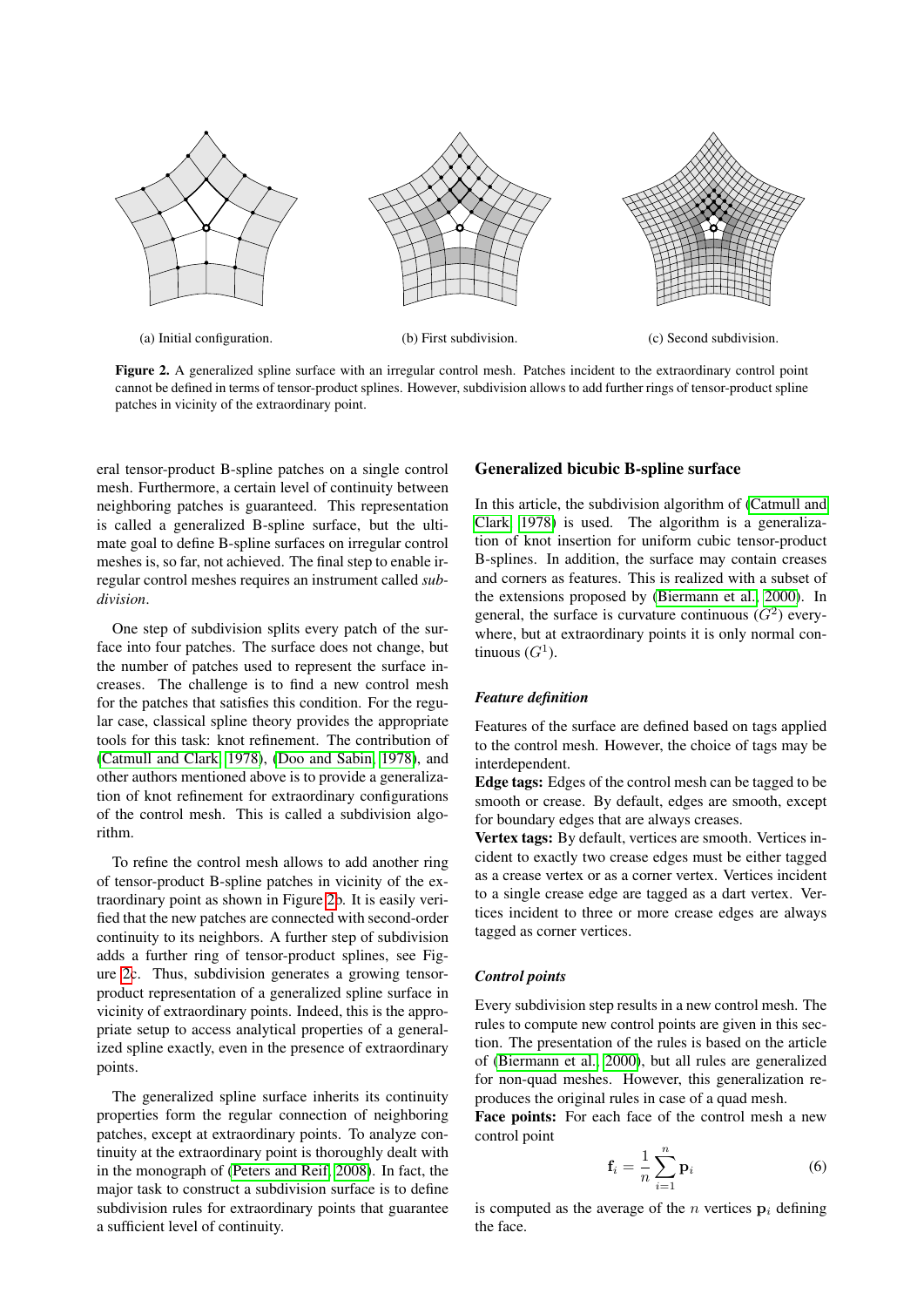

Figure 2. A generalized spline surface with an irregular control mesh. Patches incident to the extraordinary control point cannot be defined in terms of tensor-product splines. However, subdivision allows to add further rings of tensor-product spline patches in vicinity of the extraordinary point.

eral tensor-product B-spline patches on a single control mesh. Furthermore, a certain level of continuity between neighboring patches is guaranteed. This representation is called a generalized B-spline surface, but the ultimate goal to define B-spline surfaces on irregular control meshes is, so far, not achieved. The final step to enable irregular control meshes requires an instrument called *subdivision*.

One step of subdivision splits every patch of the surface into four patches. The surface does not change, but the number of patches used to represent the surface increases. The challenge is to find a new control mesh for the patches that satisfies this condition. For the regular case, classical spline theory provides the appropriate tools for this task: knot refinement. The contribution of [\(Catmull and Clark, 1978\)](#page-6-0), [\(Doo and Sabin, 1978\)](#page-6-1), and other authors mentioned above is to provide a generalization of knot refinement for extraordinary configurations of the control mesh. This is called a subdivision algorithm.

To refine the control mesh allows to add another ring of tensor-product B-spline patches in vicinity of the extraordinary point as shown in Figure [2b](#page-3-0). It is easily verified that the new patches are connected with second-order continuity to its neighbors. A further step of subdivision adds a further ring of tensor-product splines, see Figure [2c](#page-3-0). Thus, subdivision generates a growing tensorproduct representation of a generalized spline surface in vicinity of extraordinary points. Indeed, this is the appropriate setup to access analytical properties of a generalized spline exactly, even in the presence of extraordinary points.

The generalized spline surface inherits its continuity properties form the regular connection of neighboring patches, except at extraordinary points. To analyze continuity at the extraordinary point is thoroughly dealt with in the monograph of [\(Peters and Reif, 2008\)](#page-7-2). In fact, the major task to construct a subdivision surface is to define subdivision rules for extraordinary points that guarantee a sufficient level of continuity.

## <span id="page-3-0"></span>Generalized bicubic B-spline surface

In this article, the subdivision algorithm of [\(Catmull and](#page-6-0) [Clark, 1978\)](#page-6-0) is used. The algorithm is a generalization of knot insertion for uniform cubic tensor-product B-splines. In addition, the surface may contain creases and corners as features. This is realized with a subset of the extensions proposed by [\(Biermann et al., 2000\)](#page-6-4). In general, the surface is curvature continuous  $(G^2)$  everywhere, but at extraordinary points it is only normal continuous  $(G<sup>1</sup>)$ .

## *Feature definition*

Features of the surface are defined based on tags applied to the control mesh. However, the choice of tags may be interdependent.

Edge tags: Edges of the control mesh can be tagged to be smooth or crease. By default, edges are smooth, except for boundary edges that are always creases.

Vertex tags: By default, vertices are smooth. Vertices incident to exactly two crease edges must be either tagged as a crease vertex or as a corner vertex. Vertices incident to a single crease edge are tagged as a dart vertex. Vertices incident to three or more crease edges are always tagged as corner vertices.

## *Control points*

Every subdivision step results in a new control mesh. The rules to compute new control points are given in this section. The presentation of the rules is based on the article of [\(Biermann et al., 2000\)](#page-6-4), but all rules are generalized for non-quad meshes. However, this generalization reproduces the original rules in case of a quad mesh.

Face points: For each face of the control mesh a new control point

$$
\mathbf{f}_i = \frac{1}{n} \sum_{i=1}^n \mathbf{p}_i
$$
 (6)

is computed as the average of the n vertices  $p_i$  defining the face.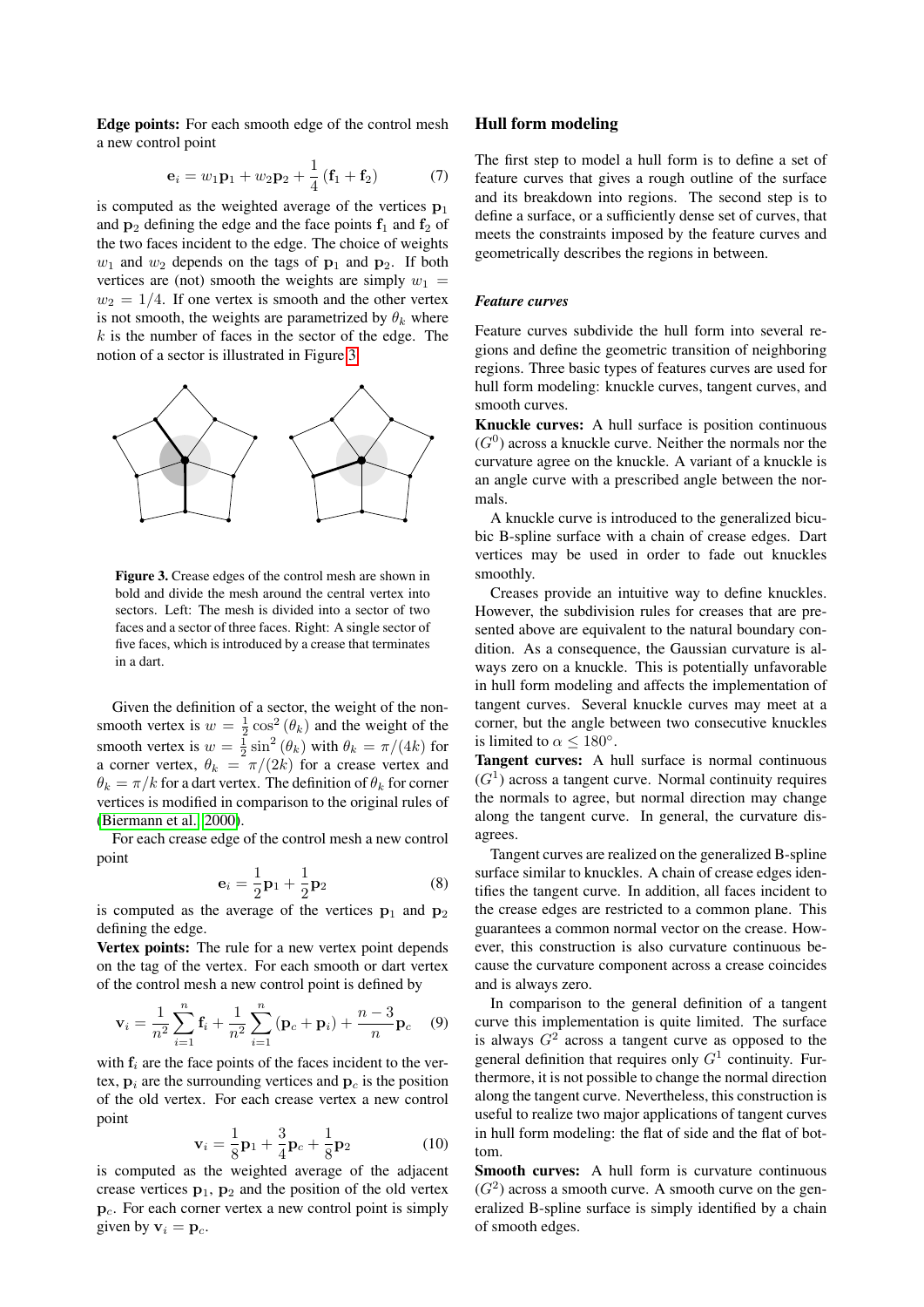Edge points: For each smooth edge of the control mesh a new control point

$$
\mathbf{e}_{i} = w_{1}\mathbf{p}_{1} + w_{2}\mathbf{p}_{2} + \frac{1}{4}(\mathbf{f}_{1} + \mathbf{f}_{2})
$$
 (7)

is computed as the weighted average of the vertices  $p_1$ and  $p_2$  defining the edge and the face points  $f_1$  and  $f_2$  of the two faces incident to the edge. The choice of weights  $w_1$  and  $w_2$  depends on the tags of  $p_1$  and  $p_2$ . If both vertices are (not) smooth the weights are simply  $w_1$  =  $w_2 = 1/4$ . If one vertex is smooth and the other vertex is not smooth, the weights are parametrized by  $\theta_k$  where  $k$  is the number of faces in the sector of the edge. The notion of a sector is illustrated in Figure [3.](#page-4-0)



<span id="page-4-0"></span>Figure 3. Crease edges of the control mesh are shown in bold and divide the mesh around the central vertex into sectors. Left: The mesh is divided into a sector of two faces and a sector of three faces. Right: A single sector of five faces, which is introduced by a crease that terminates in a dart.

Given the definition of a sector, the weight of the nonsmooth vertex is  $w = \frac{1}{2} \cos^2 (\theta_k)$  and the weight of the smooth vertex is  $w = \frac{1}{2} \sin^2 (\theta_k)$  with  $\theta_k = \pi/(4k)$  for a corner vertex,  $\theta_k = \pi/(2k)$  for a crease vertex and  $\theta_k = \pi/k$  for a dart vertex. The definition of  $\theta_k$  for corner vertices is modified in comparison to the original rules of [\(Biermann et al., 2000\)](#page-6-4).

For each crease edge of the control mesh a new control point

$$
\mathbf{e}_i = \frac{1}{2}\mathbf{p}_1 + \frac{1}{2}\mathbf{p}_2 \tag{8}
$$

is computed as the average of the vertices  $p_1$  and  $p_2$ defining the edge.

Vertex points: The rule for a new vertex point depends on the tag of the vertex. For each smooth or dart vertex of the control mesh a new control point is defined by

$$
\mathbf{v}_{i} = \frac{1}{n^2} \sum_{i=1}^{n} \mathbf{f}_{i} + \frac{1}{n^2} \sum_{i=1}^{n} (\mathbf{p}_{c} + \mathbf{p}_{i}) + \frac{n-3}{n} \mathbf{p}_{c} \quad (9)
$$

with  $f_i$  are the face points of the faces incident to the vertex,  $\mathbf{p}_i$  are the surrounding vertices and  $\mathbf{p}_c$  is the position of the old vertex. For each crease vertex a new control point

$$
\mathbf{v}_{i} = \frac{1}{8}\mathbf{p}_{1} + \frac{3}{4}\mathbf{p}_{c} + \frac{1}{8}\mathbf{p}_{2}
$$
 (10)

is computed as the weighted average of the adjacent crease vertices  $p_1$ ,  $p_2$  and the position of the old vertex  $p<sub>c</sub>$ . For each corner vertex a new control point is simply given by  $v_i = p_c$ .

## Hull form modeling

The first step to model a hull form is to define a set of feature curves that gives a rough outline of the surface and its breakdown into regions. The second step is to define a surface, or a sufficiently dense set of curves, that meets the constraints imposed by the feature curves and geometrically describes the regions in between.

## *Feature curves*

Feature curves subdivide the hull form into several regions and define the geometric transition of neighboring regions. Three basic types of features curves are used for hull form modeling: knuckle curves, tangent curves, and smooth curves.

Knuckle curves: A hull surface is position continuous  $(G<sup>0</sup>)$  across a knuckle curve. Neither the normals nor the curvature agree on the knuckle. A variant of a knuckle is an angle curve with a prescribed angle between the normals.

A knuckle curve is introduced to the generalized bicubic B-spline surface with a chain of crease edges. Dart vertices may be used in order to fade out knuckles smoothly.

Creases provide an intuitive way to define knuckles. However, the subdivision rules for creases that are presented above are equivalent to the natural boundary condition. As a consequence, the Gaussian curvature is always zero on a knuckle. This is potentially unfavorable in hull form modeling and affects the implementation of tangent curves. Several knuckle curves may meet at a corner, but the angle between two consecutive knuckles is limited to  $\alpha \leq 180^{\circ}$ .

Tangent curves: A hull surface is normal continuous  $(G<sup>1</sup>)$  across a tangent curve. Normal continuity requires the normals to agree, but normal direction may change along the tangent curve. In general, the curvature disagrees.

Tangent curves are realized on the generalized B-spline surface similar to knuckles. A chain of crease edges identifies the tangent curve. In addition, all faces incident to the crease edges are restricted to a common plane. This guarantees a common normal vector on the crease. However, this construction is also curvature continuous because the curvature component across a crease coincides and is always zero.

In comparison to the general definition of a tangent curve this implementation is quite limited. The surface is always  $G<sup>2</sup>$  across a tangent curve as opposed to the general definition that requires only  $G<sup>1</sup>$  continuity. Furthermore, it is not possible to change the normal direction along the tangent curve. Nevertheless, this construction is useful to realize two major applications of tangent curves in hull form modeling: the flat of side and the flat of bottom.

Smooth curves: A hull form is curvature continuous  $(G<sup>2</sup>)$  across a smooth curve. A smooth curve on the generalized B-spline surface is simply identified by a chain of smooth edges.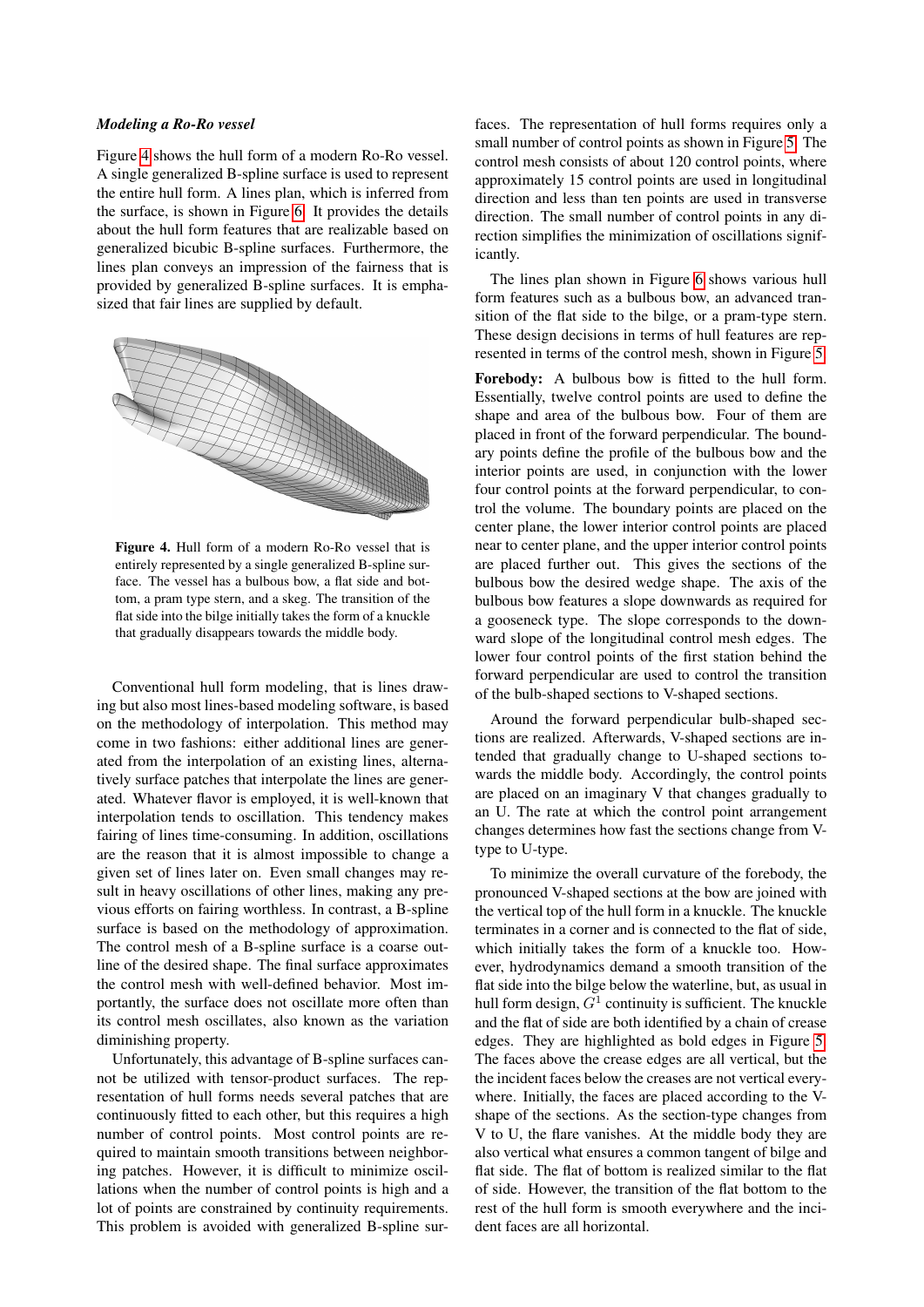#### *Modeling a Ro-Ro vessel*

Figure [4](#page-5-0) shows the hull form of a modern Ro-Ro vessel. A single generalized B-spline surface is used to represent the entire hull form. A lines plan, which is inferred from the surface, is shown in Figure [6.](#page-7-12) It provides the details about the hull form features that are realizable based on generalized bicubic B-spline surfaces. Furthermore, the lines plan conveys an impression of the fairness that is provided by generalized B-spline surfaces. It is emphasized that fair lines are supplied by default.



Figure 4. Hull form of a modern Ro-Ro vessel that is entirely represented by a single generalized B-spline surface. The vessel has a bulbous bow, a flat side and bottom, a pram type stern, and a skeg. The transition of the flat side into the bilge initially takes the form of a knuckle that gradually disappears towards the middle body.

Conventional hull form modeling, that is lines drawing but also most lines-based modeling software, is based on the methodology of interpolation. This method may come in two fashions: either additional lines are generated from the interpolation of an existing lines, alternatively surface patches that interpolate the lines are generated. Whatever flavor is employed, it is well-known that interpolation tends to oscillation. This tendency makes fairing of lines time-consuming. In addition, oscillations are the reason that it is almost impossible to change a given set of lines later on. Even small changes may result in heavy oscillations of other lines, making any previous efforts on fairing worthless. In contrast, a B-spline surface is based on the methodology of approximation. The control mesh of a B-spline surface is a coarse outline of the desired shape. The final surface approximates the control mesh with well-defined behavior. Most importantly, the surface does not oscillate more often than its control mesh oscillates, also known as the variation diminishing property.

Unfortunately, this advantage of B-spline surfaces cannot be utilized with tensor-product surfaces. The representation of hull forms needs several patches that are continuously fitted to each other, but this requires a high number of control points. Most control points are required to maintain smooth transitions between neighboring patches. However, it is difficult to minimize oscillations when the number of control points is high and a lot of points are constrained by continuity requirements. This problem is avoided with generalized B-spline surfaces. The representation of hull forms requires only a small number of control points as shown in Figure [5.](#page-6-6) The control mesh consists of about 120 control points, where approximately 15 control points are used in longitudinal direction and less than ten points are used in transverse direction. The small number of control points in any direction simplifies the minimization of oscillations significantly.

The lines plan shown in Figure [6](#page-7-12) shows various hull form features such as a bulbous bow, an advanced transition of the flat side to the bilge, or a pram-type stern. These design decisions in terms of hull features are represented in terms of the control mesh, shown in Figure [5.](#page-6-6)

<span id="page-5-0"></span>Forebody: A bulbous bow is fitted to the hull form. Essentially, twelve control points are used to define the shape and area of the bulbous bow. Four of them are placed in front of the forward perpendicular. The boundary points define the profile of the bulbous bow and the interior points are used, in conjunction with the lower four control points at the forward perpendicular, to control the volume. The boundary points are placed on the center plane, the lower interior control points are placed near to center plane, and the upper interior control points are placed further out. This gives the sections of the bulbous bow the desired wedge shape. The axis of the bulbous bow features a slope downwards as required for a gooseneck type. The slope corresponds to the downward slope of the longitudinal control mesh edges. The lower four control points of the first station behind the forward perpendicular are used to control the transition of the bulb-shaped sections to V-shaped sections.

Around the forward perpendicular bulb-shaped sections are realized. Afterwards, V-shaped sections are intended that gradually change to U-shaped sections towards the middle body. Accordingly, the control points are placed on an imaginary V that changes gradually to an U. The rate at which the control point arrangement changes determines how fast the sections change from Vtype to U-type.

To minimize the overall curvature of the forebody, the pronounced V-shaped sections at the bow are joined with the vertical top of the hull form in a knuckle. The knuckle terminates in a corner and is connected to the flat of side, which initially takes the form of a knuckle too. However, hydrodynamics demand a smooth transition of the flat side into the bilge below the waterline, but, as usual in hull form design,  $G^1$  continuity is sufficient. The knuckle and the flat of side are both identified by a chain of crease edges. They are highlighted as bold edges in Figure [5.](#page-6-6) The faces above the crease edges are all vertical, but the the incident faces below the creases are not vertical everywhere. Initially, the faces are placed according to the Vshape of the sections. As the section-type changes from V to U, the flare vanishes. At the middle body they are also vertical what ensures a common tangent of bilge and flat side. The flat of bottom is realized similar to the flat of side. However, the transition of the flat bottom to the rest of the hull form is smooth everywhere and the incident faces are all horizontal.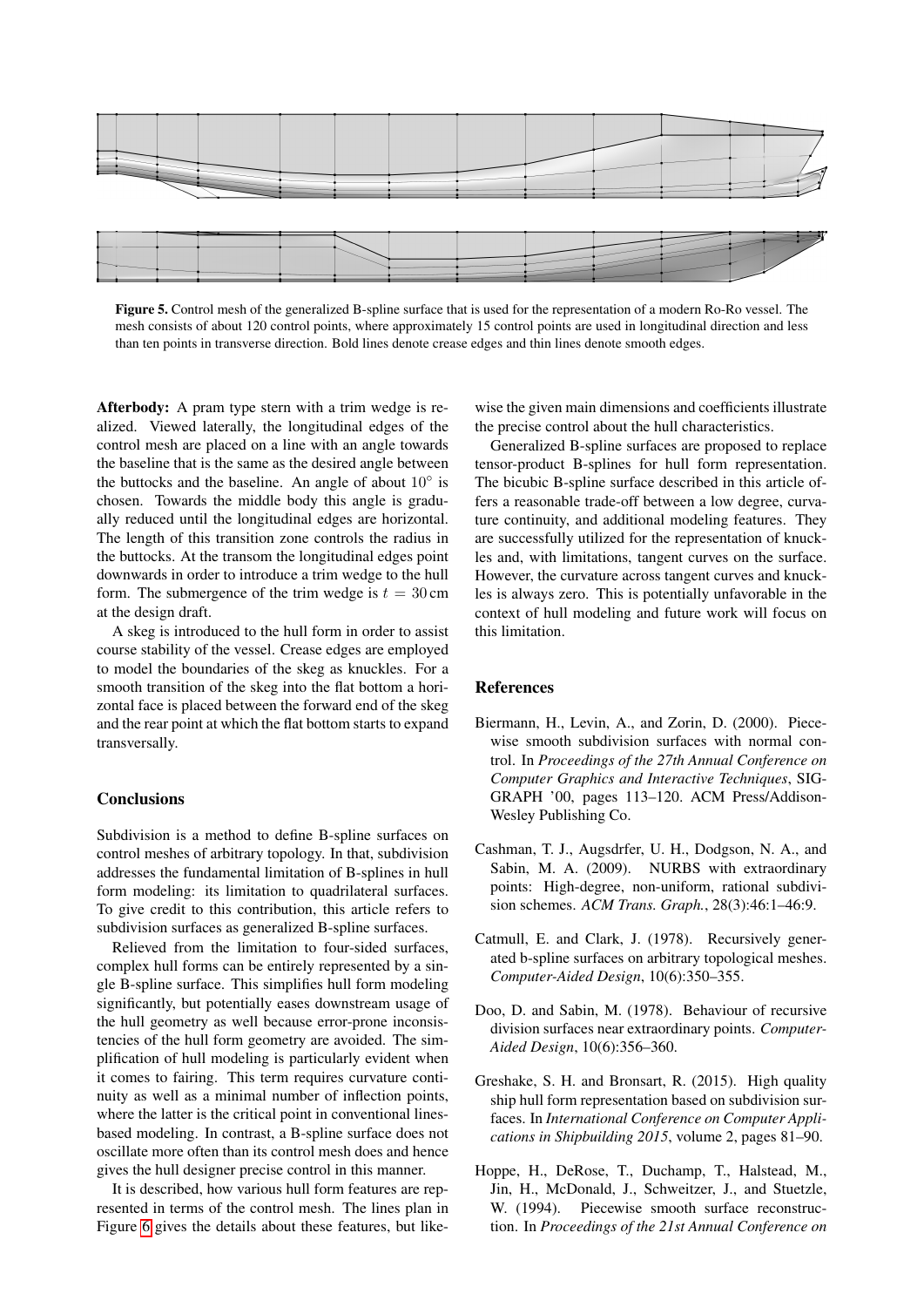

<span id="page-6-6"></span>Figure 5. Control mesh of the generalized B-spline surface that is used for the representation of a modern Ro-Ro vessel. The mesh consists of about 120 control points, where approximately 15 control points are used in longitudinal direction and less than ten points in transverse direction. Bold lines denote crease edges and thin lines denote smooth edges.

Afterbody: A pram type stern with a trim wedge is realized. Viewed laterally, the longitudinal edges of the control mesh are placed on a line with an angle towards the baseline that is the same as the desired angle between the buttocks and the baseline. An angle of about  $10^\circ$  is chosen. Towards the middle body this angle is gradually reduced until the longitudinal edges are horizontal. The length of this transition zone controls the radius in the buttocks. At the transom the longitudinal edges point downwards in order to introduce a trim wedge to the hull form. The submergence of the trim wedge is  $t = 30$  cm at the design draft.

A skeg is introduced to the hull form in order to assist course stability of the vessel. Crease edges are employed to model the boundaries of the skeg as knuckles. For a smooth transition of the skeg into the flat bottom a horizontal face is placed between the forward end of the skeg and the rear point at which the flat bottom starts to expand transversally.

## **Conclusions**

Subdivision is a method to define B-spline surfaces on control meshes of arbitrary topology. In that, subdivision addresses the fundamental limitation of B-splines in hull form modeling: its limitation to quadrilateral surfaces. To give credit to this contribution, this article refers to subdivision surfaces as generalized B-spline surfaces.

Relieved from the limitation to four-sided surfaces, complex hull forms can be entirely represented by a single B-spline surface. This simplifies hull form modeling significantly, but potentially eases downstream usage of the hull geometry as well because error-prone inconsistencies of the hull form geometry are avoided. The simplification of hull modeling is particularly evident when it comes to fairing. This term requires curvature continuity as well as a minimal number of inflection points, where the latter is the critical point in conventional linesbased modeling. In contrast, a B-spline surface does not oscillate more often than its control mesh does and hence gives the hull designer precise control in this manner.

It is described, how various hull form features are represented in terms of the control mesh. The lines plan in Figure [6](#page-7-12) gives the details about these features, but like-

wise the given main dimensions and coefficients illustrate the precise control about the hull characteristics.

Generalized B-spline surfaces are proposed to replace tensor-product B-splines for hull form representation. The bicubic B-spline surface described in this article offers a reasonable trade-off between a low degree, curvature continuity, and additional modeling features. They are successfully utilized for the representation of knuckles and, with limitations, tangent curves on the surface. However, the curvature across tangent curves and knuckles is always zero. This is potentially unfavorable in the context of hull modeling and future work will focus on this limitation.

#### References

- <span id="page-6-4"></span>Biermann, H., Levin, A., and Zorin, D. (2000). Piecewise smooth subdivision surfaces with normal control. In *Proceedings of the 27th Annual Conference on Computer Graphics and Interactive Techniques*, SIG-GRAPH '00, pages 113–120. ACM Press/Addison-Wesley Publishing Co.
- <span id="page-6-2"></span>Cashman, T. J., Augsdrfer, U. H., Dodgson, N. A., and Sabin, M. A. (2009). NURBS with extraordinary points: High-degree, non-uniform, rational subdivision schemes. *ACM Trans. Graph.*, 28(3):46:1–46:9.
- <span id="page-6-0"></span>Catmull, E. and Clark, J. (1978). Recursively generated b-spline surfaces on arbitrary topological meshes. *Computer-Aided Design*, 10(6):350–355.
- <span id="page-6-1"></span>Doo, D. and Sabin, M. (1978). Behaviour of recursive division surfaces near extraordinary points. *Computer-Aided Design*, 10(6):356–360.
- <span id="page-6-5"></span>Greshake, S. H. and Bronsart, R. (2015). High quality ship hull form representation based on subdivision surfaces. In *International Conference on Computer Applications in Shipbuilding 2015*, volume 2, pages 81–90.
- <span id="page-6-3"></span>Hoppe, H., DeRose, T., Duchamp, T., Halstead, M., Jin, H., McDonald, J., Schweitzer, J., and Stuetzle, W. (1994). Piecewise smooth surface reconstruction. In *Proceedings of the 21st Annual Conference on*